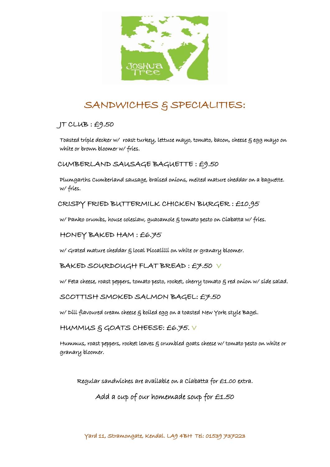

## SANDWICHES & SPECIALITIES:

JT CLUB : £9.50

Toasted triple decker w/ roast turkey, lettuce mayo, tomato, bacon, cheese & egg mayo on white or brown bloomer w/ fries.

CUMBERLAND SAUSAGE BAGUETTE : £9.50

Plumgarths Cumberland sausage, braised onions, melted mature cheddar on a baguette. w/ fries.

CRISPY FRIED BUTTERMILK CHICKEN BURGER : £10.95

w/ Panko crumbs, house coleslaw, guacamole  $\xi$  tomato pesto on Ciabatta w/ fries.

HONEY BAKED HAM : £6.75

w/ Grated mature cheddar & local Piccalilli on white or granary bloomer.

BAKED SOURDOUGH FLAT BREAD : £7.50 V

w/Feta cheese, roast peppers, tomato pesto, rocket, cherry tomato  $\xi$  red onion w/side salad.

SCOTTISH SMOKED SALMON BAGEL: £7.50

w/ Dill flavoured cream cheese & boiled egg on a toasted New York style Bagel.

HUMMUS & GOATS CHEESE: £6.75. V

Hummus, roast peppers, rocket leaves & crumbled goats cheese w/ tomato pesto on white or granary bloomer.

Regular sandwiches are available on a Ciabatta for £1.00 extra.

Add a cup of our homemade soup for £1.50

Yard 11, Stramongate, Kendal. LA9 4BH Tel: 01539 737223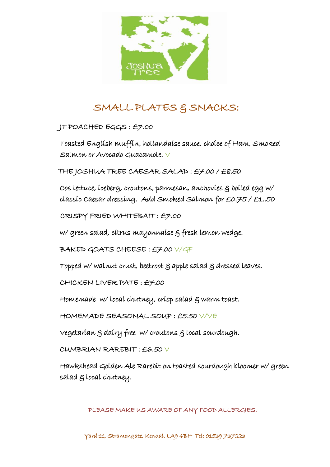

## SMALL PLATES & SNACKS:

JT POACHED EGGS : £7.00

Toasted English muffin, hollandaise sauce, choice of Ham, Smoked Salmon or Avocado Guacamole.  $\vee$ 

THE JOSHUA TREE CAESAR SALAD : £7.00 / £8.50

Cos lettuce, iceberg, croutons, parmesan, anchovies & boiled egg w/ classic Caesar dressing. Add Smoked Salmon for £0.75 / £1..50

CRISPY FRIED WHITEBAIT : £7.00

w/ green salad, citrus mayonnaise & fresh lemon wedge.

BAKED GOATS CHEESE : £7.00 V/GF

Topped w/ walnut crust, beetroot  $\varepsilon$  apple salad  $\varepsilon$  dressed leaves.

CHICKEN LIVER PATE : £7.00

Homemade w/ local chutney, crisp salad  $\xi$  warm toast.

HOMEMADE SEASONAL SOUP : £5.50 V/VE

Vegetarian & dairy free w/ croutons & local sourdough.

CUMBRIAN RAREBIT : £6.50 V

Hawkshead Golden Ale Rarebit on toasted sourdough bloomer w/ green salad & local chutney.

PLEASE MAKE US AWARE OF ANY FOOD ALLERGIES.

Yard 11, Stramongate, Kendal. LA9 4BH Tel: 01539 737223